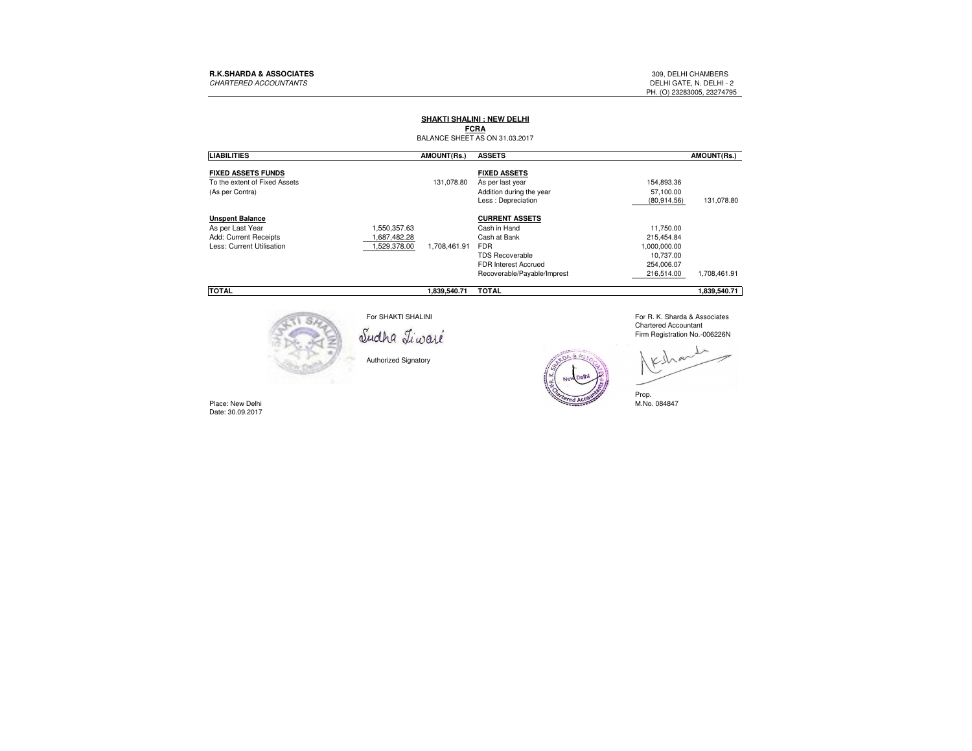PH. (O) 23283005, 23274795

## **SHAKTI SHALINI : NEW DELHI**

BALANCE SHEET AS ON 31.03.2017**FCRA**

| <b>LIABILITIES</b>                                                                               |                                            | AMOUNT(Rs.)  | <b>ASSETS</b>                                                                                                                                               |                                                                                  | AMOUNT(Rs.)  |
|--------------------------------------------------------------------------------------------------|--------------------------------------------|--------------|-------------------------------------------------------------------------------------------------------------------------------------------------------------|----------------------------------------------------------------------------------|--------------|
| <b>FIXED ASSETS FUNDS</b><br>To the extent of Fixed Assets<br>(As per Contra)                    |                                            | 131.078.80   | <b>FIXED ASSETS</b><br>As per last year<br>Addition during the year<br>Less : Depreciation                                                                  | 154,893.36<br>57.100.00<br>(80.914.56)                                           | 131,078.80   |
| <b>Unspent Balance</b><br>As per Last Year<br>Add: Current Receipts<br>Less: Current Utilisation | 1,550,357.63<br>.687,482.28<br>,529,378.00 | 1.708.461.91 | <b>CURRENT ASSETS</b><br>Cash in Hand<br>Cash at Bank<br><b>FDR</b><br><b>TDS Recoverable</b><br><b>FDR Interest Accrued</b><br>Recoverable/Payable/Imprest | 11.750.00<br>215,454.84<br>1.000.000.00<br>10.737.00<br>254.006.07<br>216.514.00 | 1,708,461.91 |
| <b>TOTAL</b>                                                                                     |                                            | 1.839.540.71 | <b>TOTAL</b>                                                                                                                                                |                                                                                  | 1.839.540.71 |



For SHAKTI SHALINI

Authorized Signatory

 For R. K. Sharda & AssociatesChartered Accountant Firm Registration No.-006226N

(R. K. Sharda) Prop. M.No. 084847



Place: New Delhi<br>Date: 30.09.2017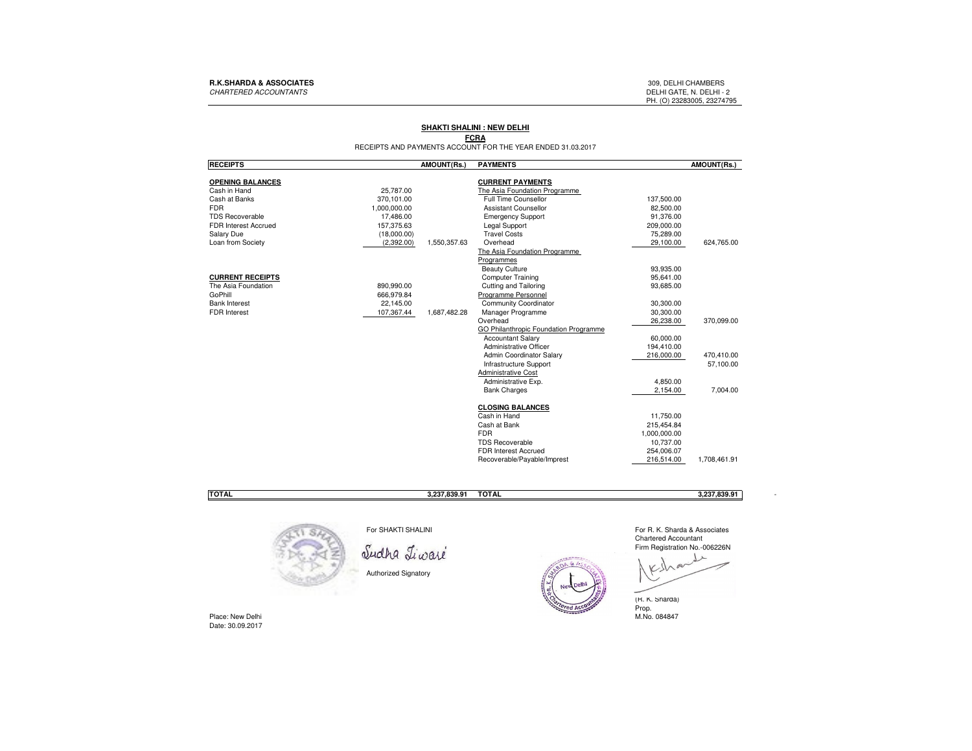### **R.K.SHARDA & ASSOCIATES** 309, DELHI CHAMBERS

CHARTERED ACCOUNTANTS

DELHI GATE, N. DELHI - 2<br>PH. (O) 23283005, 23274795

# **SHAKTI SHALINI : NEW DELHI**

**FCRA**<br>RECEIPTS AND PAYMENTS ACCOUNT FOR THE YEAR ENDED 31.03.2017

| <b>RECEIPTS</b>         |              | <b>AMOUNT(Rs.)</b> | <b>PAYMENTS</b>                       |              | AMOUNT(Rs.)  |
|-------------------------|--------------|--------------------|---------------------------------------|--------------|--------------|
| <b>OPENING BALANCES</b> |              |                    | <b>CURRENT PAYMENTS</b>               |              |              |
| Cash in Hand            | 25.787.00    |                    | The Asia Foundation Programme         |              |              |
| Cash at Banks           | 370.101.00   |                    | Full Time Counsellor                  | 137,500.00   |              |
| <b>FDR</b>              | 1,000,000.00 |                    | <b>Assistant Counsellor</b>           | 82,500.00    |              |
| <b>TDS Recoverable</b>  | 17,486.00    |                    | <b>Emergency Support</b>              | 91,376.00    |              |
| FDR Interest Accrued    | 157,375.63   |                    | <b>Legal Support</b>                  | 209,000.00   |              |
| Salary Due              | (18,000.00)  |                    | <b>Travel Costs</b>                   | 75.289.00    |              |
| Loan from Society       | (2,392.00)   | 1,550,357.63       | Overhead                              | 29,100.00    | 624,765.00   |
|                         |              |                    | The Asia Foundation Programme         |              |              |
|                         |              |                    | Programmes                            |              |              |
|                         |              |                    | <b>Beauty Culture</b>                 | 93.935.00    |              |
| <b>CURRENT RECEIPTS</b> |              |                    | Computer Training                     | 95,641.00    |              |
| The Asia Foundation     | 890,990.00   |                    | Cutting and Tailoring                 | 93,685.00    |              |
| GoPhill                 | 666,979.84   |                    | Programme Personnel                   |              |              |
| <b>Bank Interest</b>    | 22,145.00    |                    | Community Coordinator                 | 30,300.00    |              |
| <b>FDR</b> Interest     | 107,367.44   | 1,687,482.28       | Manager Programme                     | 30,300.00    |              |
|                         |              |                    | Overhead                              | 26,238.00    | 370.099.00   |
|                         |              |                    | GO Philanthropic Foundation Programme |              |              |
|                         |              |                    | <b>Accountant Salary</b>              | 60,000.00    |              |
|                         |              |                    | Administrative Officer                | 194,410.00   |              |
|                         |              |                    | Admin Coordinator Salary              | 216,000.00   | 470,410.00   |
|                         |              |                    | <b>Infrastructure Support</b>         |              | 57,100.00    |
|                         |              |                    | <b>Administrative Cost</b>            |              |              |
|                         |              |                    | Administrative Exp.                   | 4.850.00     |              |
|                         |              |                    | <b>Bank Charges</b>                   | 2,154.00     | 7,004.00     |
|                         |              |                    | <b>CLOSING BALANCES</b>               |              |              |
|                         |              |                    | Cash in Hand                          | 11,750.00    |              |
|                         |              |                    | Cash at Bank                          | 215,454.84   |              |
|                         |              |                    | <b>FDR</b>                            | 1,000,000.00 |              |
|                         |              |                    | <b>TDS Recoverable</b>                | 10,737.00    |              |
|                         |              |                    | FDR Interest Accrued                  | 254,006.07   |              |
|                         |              |                    | Recoverable/Payable/Imprest           | 216.514.00   | 1,708,461.91 |
|                         |              |                    |                                       |              |              |

**TOTAL**

**3,237,839.91 TOTAL 3,237,839.91** -

For R. K. Sharda & Associates

 $\frac{1}{2}$ 



For SHAKTI SHALINI

Sudha Tiwaré

Authorized Signatory



(R. K. Sharda) Prop. M.No. 084847

Y

Place: New DelhiDate: 30.09.2017